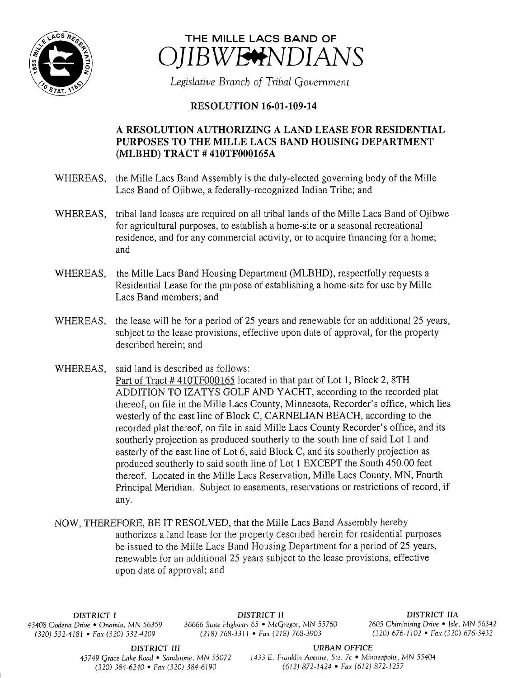



Legislative Branch of Tribal Government

## **RESOLUTION 16-01-109-14**

## A RESOLUTION AUTHORIZING A LAND LEASE FOR.RESIDENTIAL PURPOSES TO THE MILLE LACS BAND HOUSING DEPARTMENT MLBHD) TRACT # 410TF000165A

- WHEREAS, the Mille Lacs Band Assembly is the duly-elected governing body of the Mille Lacs Band of Ojibwe, a federally-recognized Indian Tribe; and
- WHEREAS, tribal land leases are required on all tribal lands of the Mille Lacs Band of Ojibwe for agricultural purposes, to establish a home- site or <sup>a</sup> seasonal recreational residence, and for any commercial activity, or to acquire financing for <sup>a</sup> home; and
- WHEREAS, the Mille Lacs Band Housing Department (MLBHD), respectfully requests <sup>a</sup> Residential Lease for the purpose of establishing a home-site for use by Mille Lacs Band members; and
- WHEREAS, the lease will be for <sup>a</sup> period of 25 years and renewable for an additional 25 years, subject to the lease provisions, effective upon date of approval, for the property described herein; and
- WHEREAS, said land is described as follows:
	- Part of Tract # 410TF000165 located in that part of Lot 1, Block 2, 8TH ADDITION TO IZATYS GOLF AND YACHT, according to the recorded plat thereof, on file in the Mille Lacs County, Minnesota, Recorder' <sup>s</sup> office, which lies westerly of the east line of Block C, CARNELIAN BEACH, according to the recorded plat thereof, on file in said Mille Lacs County Recorder's office, and its southerly projection as produced southerly to the south line of said Lot <sup>1</sup> and easterly of the east line of Lot 6, said Block C, and its southerly projection as produced southerly to said south line of Lot <sup>1</sup> EXCEPT the South 450.00 feet thereof. Located in the Mille Lacs Reservation, Mille Lacs County, MN, Fourth Principal Meridian. Subject to easements, reservations or restrictions of record, if any.
- NOW, THEREFORE, BE IT RESOLVED, that the Mille Lacs Band Assembly hereby authorizes <sup>a</sup> land lease for the property described herein for residential purposes be issued to the Mille Lacs Band Housing Department for <sup>a</sup> period of 25 years, renewable for an additional 25 years subject to the lease provisions, effective upon date of approval; and

 $(320)$  532-4181 • Fax $(320)$  532-4209

DISTRICT I DISTRICT II DISTRICT IIA 43408 Oodena Drive • Onamia, MN 56359 36666 State Highway 65 • McGregor, MN 55760 2605 Chiminising Drive • Isle, MN 56342

DISTRICT III URBAN OFFICE

45749 Grace Lake Road • Sandstone, MN 55072 <sup>1433</sup> E. Franklin Avenue, Ste. 7c • Minneapolis, MN 55404 320) 384- 6240 • Fax( 320) 384- 6190 612) 872- 1424 • Fax ( 612) 872- 1257